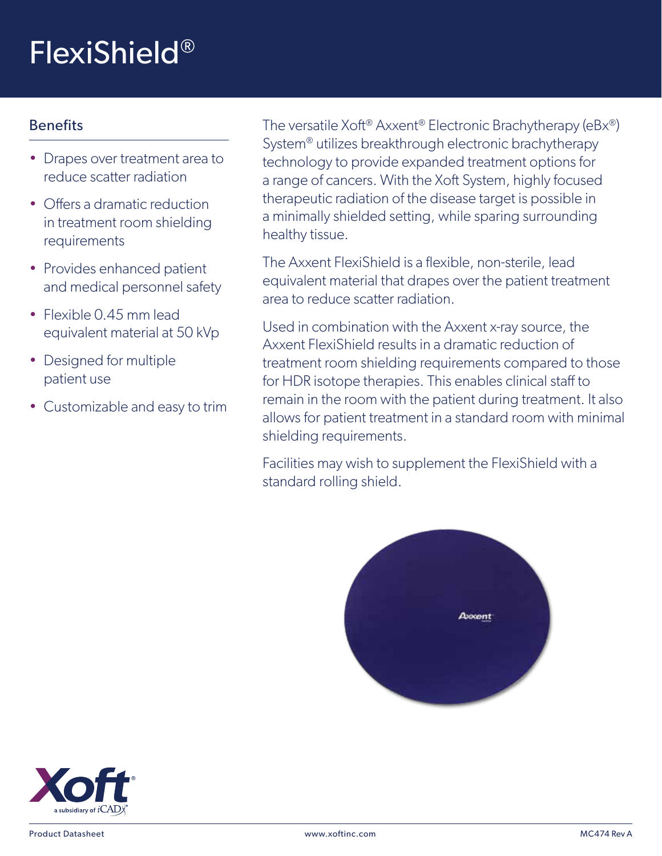## FlexiShield®

## Benefits

- Drapes over treatment area to reduce scatter radiation
- Offers a dramatic reduction in treatment room shielding requirements
- Provides enhanced patient and medical personnel safety
- Flexible 0.45 mm lead equivalent material at 50 kVp
- Designed for multiple patient use
- Customizable and easy to trim

The versatile Xoft® Axxent® Electronic Brachytherapy (eBx®) System® utilizes breakthrough electronic brachytherapy technology to provide expanded treatment options for a range of cancers. With the Xoft System, highly focused therapeutic radiation of the disease target is possible in a minimally shielded setting, while sparing surrounding healthy tissue.

The Axxent FlexiShield is a flexible, non-sterile, lead equivalent material that drapes over the patient treatment area to reduce scatter radiation.

Used in combination with the Axxent x-ray source, the Axxent FlexiShield results in a dramatic reduction of treatment room shielding requirements compared to those for HDR isotope therapies. This enables clinical staff to remain in the room with the patient during treatment. It also allows for patient treatment in a standard room with minimal shielding requirements.

Facilities may wish to supplement the FlexiShield with a standard rolling shield.